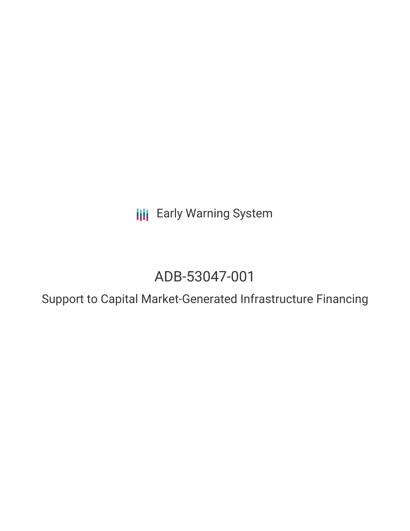**III** Early Warning System

# ADB-53047-001

Support to Capital Market-Generated Infrastructure Financing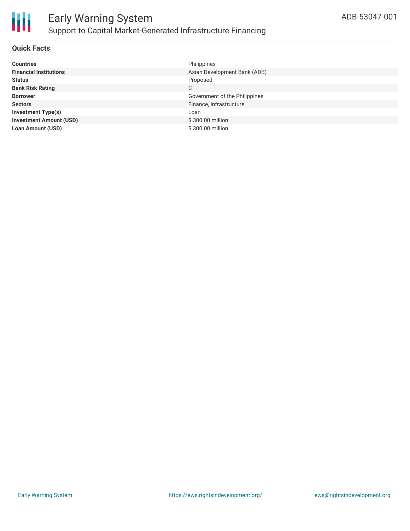

### **Quick Facts**

| <b>Countries</b>               | Philippines                   |
|--------------------------------|-------------------------------|
| <b>Financial Institutions</b>  | Asian Development Bank (ADB)  |
| <b>Status</b>                  | Proposed                      |
| <b>Bank Risk Rating</b>        | C                             |
| <b>Borrower</b>                | Government of the Philippines |
| <b>Sectors</b>                 | Finance, Infrastructure       |
| <b>Investment Type(s)</b>      | Loan                          |
| <b>Investment Amount (USD)</b> | \$300.00 million              |
| <b>Loan Amount (USD)</b>       | \$300.00 million              |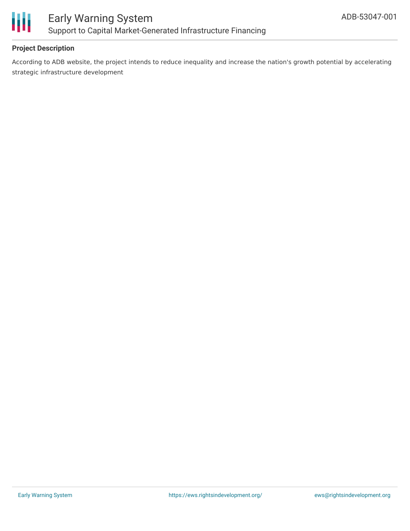

## **Project Description**

According to ADB website, the project intends to reduce inequality and increase the nation's growth potential by accelerating strategic infrastructure development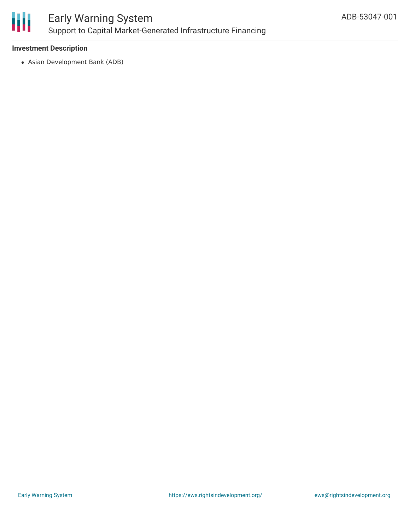

### **Investment Description**

Asian Development Bank (ADB)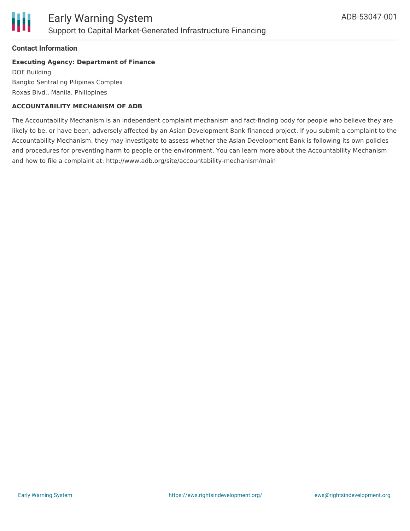

### **Contact Information**

#### **Executing Agency: Department of Finance**

DOF Building Bangko Sentral ng Pilipinas Complex Roxas Blvd., Manila, Philippines

#### **ACCOUNTABILITY MECHANISM OF ADB**

The Accountability Mechanism is an independent complaint mechanism and fact-finding body for people who believe they are likely to be, or have been, adversely affected by an Asian Development Bank-financed project. If you submit a complaint to the Accountability Mechanism, they may investigate to assess whether the Asian Development Bank is following its own policies and procedures for preventing harm to people or the environment. You can learn more about the Accountability Mechanism and how to file a complaint at: http://www.adb.org/site/accountability-mechanism/main